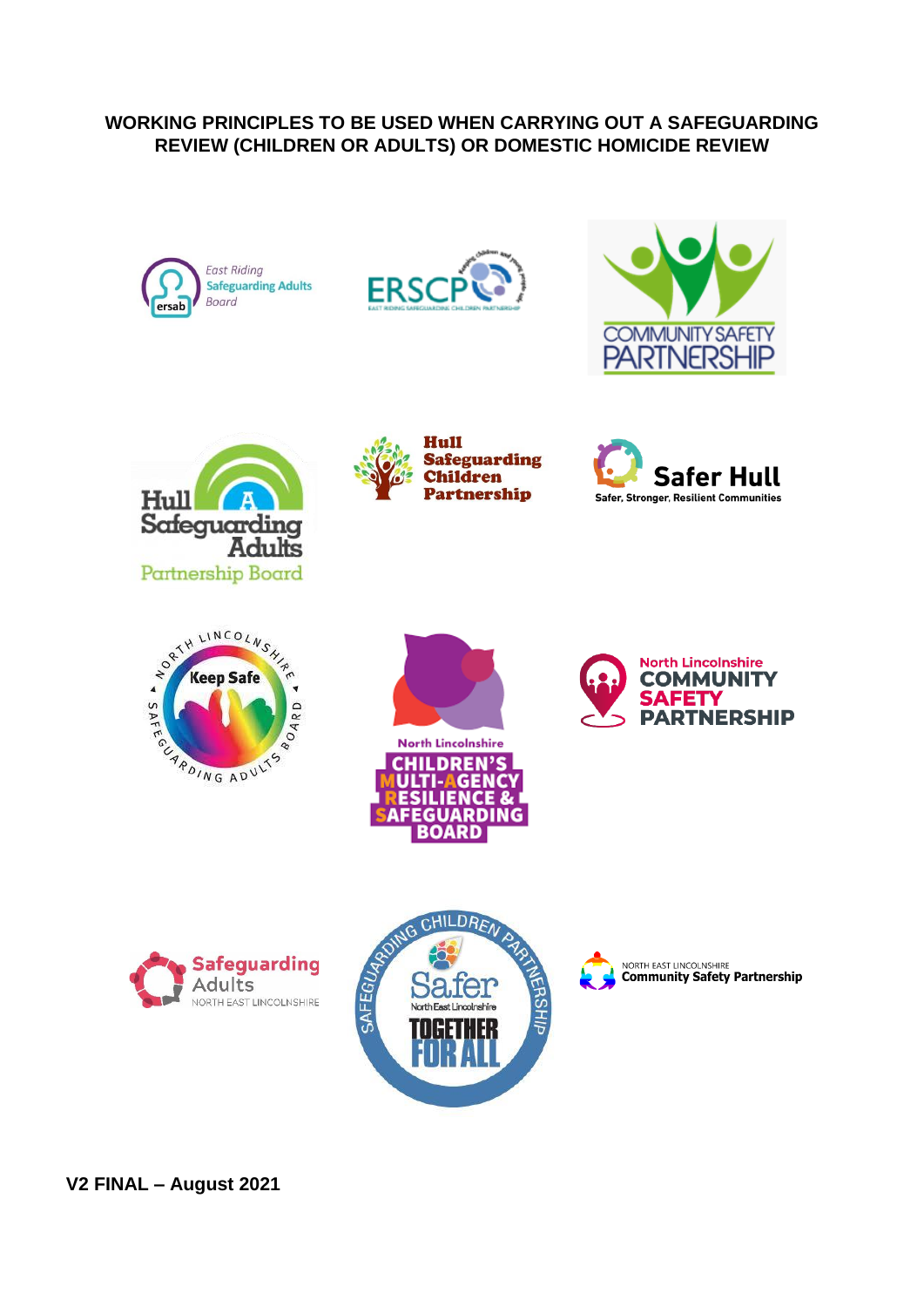## **WORKING PRINCIPLES TO BE USED WHEN CARRYING OUT A SAFEGUARDING REVIEW (CHILDREN OR ADULTS) OR DOMESTIC HOMICIDE REVIEW**

















**AFEGUARDING BOARD** 









**V2 FINAL – August 2021**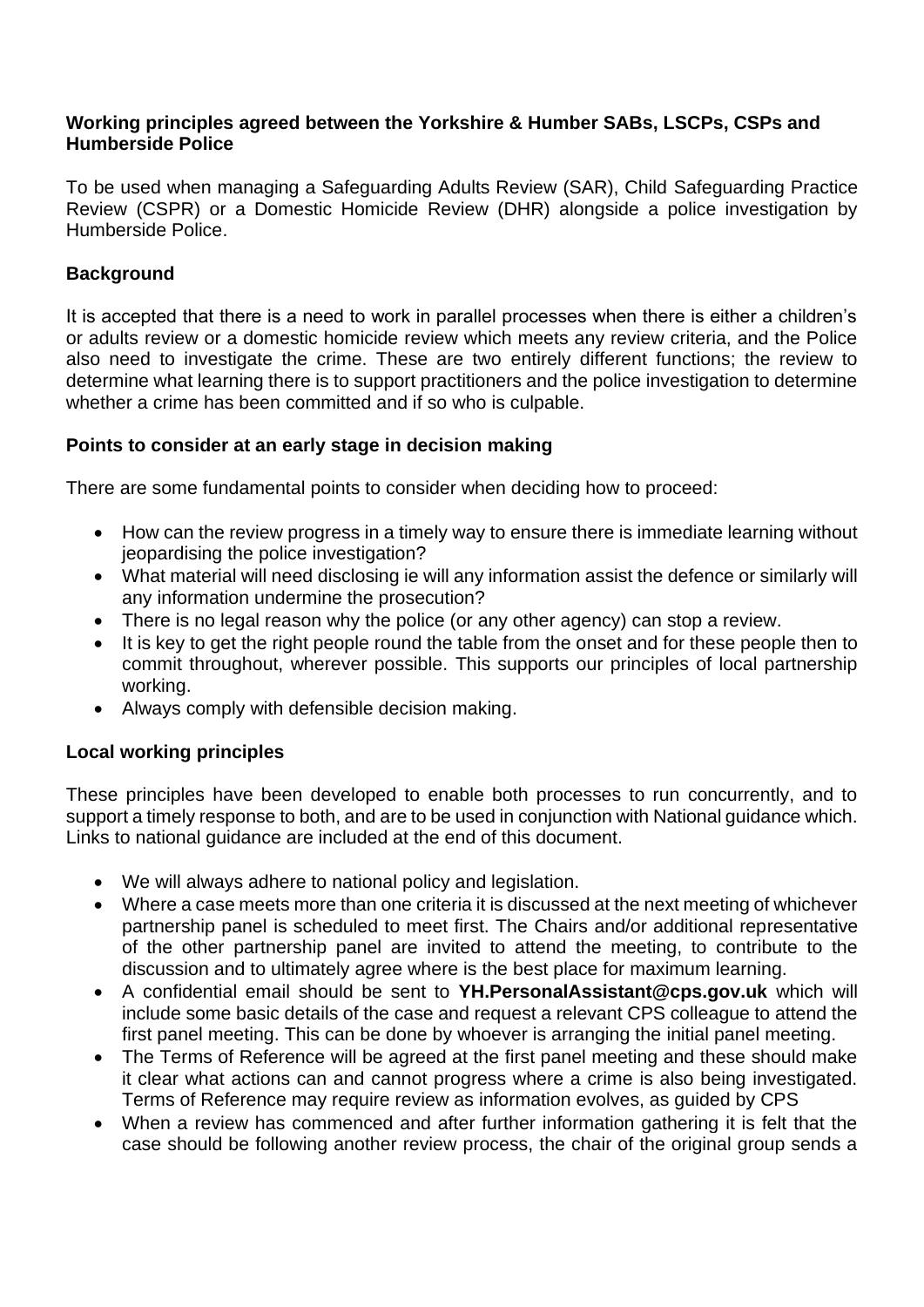#### **Working principles agreed between the Yorkshire & Humber SABs, LSCPs, CSPs and Humberside Police**

To be used when managing a Safeguarding Adults Review (SAR), Child Safeguarding Practice Review (CSPR) or a Domestic Homicide Review (DHR) alongside a police investigation by Humberside Police.

# **Background**

It is accepted that there is a need to work in parallel processes when there is either a children's or adults review or a domestic homicide review which meets any review criteria, and the Police also need to investigate the crime. These are two entirely different functions; the review to determine what learning there is to support practitioners and the police investigation to determine whether a crime has been committed and if so who is culpable.

### **Points to consider at an early stage in decision making**

There are some fundamental points to consider when deciding how to proceed:

- How can the review progress in a timely way to ensure there is immediate learning without jeopardising the police investigation?
- What material will need disclosing ie will any information assist the defence or similarly will any information undermine the prosecution?
- There is no legal reason why the police (or any other agency) can stop a review.
- It is key to get the right people round the table from the onset and for these people then to commit throughout, wherever possible. This supports our principles of local partnership working.
- Always comply with defensible decision making.

## **Local working principles**

These principles have been developed to enable both processes to run concurrently, and to support a timely response to both, and are to be used in conjunction with National guidance which. Links to national guidance are included at the end of this document.

- We will always adhere to national policy and legislation.
- Where a case meets more than one criteria it is discussed at the next meeting of whichever partnership panel is scheduled to meet first. The Chairs and/or additional representative of the other partnership panel are invited to attend the meeting, to contribute to the discussion and to ultimately agree where is the best place for maximum learning.
- A confidential email should be sent to **YH.PersonalAssistant@cps.gov.uk** which will include some basic details of the case and request a relevant CPS colleague to attend the first panel meeting. This can be done by whoever is arranging the initial panel meeting.
- The Terms of Reference will be agreed at the first panel meeting and these should make it clear what actions can and cannot progress where a crime is also being investigated. Terms of Reference may require review as information evolves, as guided by CPS
- When a review has commenced and after further information gathering it is felt that the case should be following another review process, the chair of the original group sends a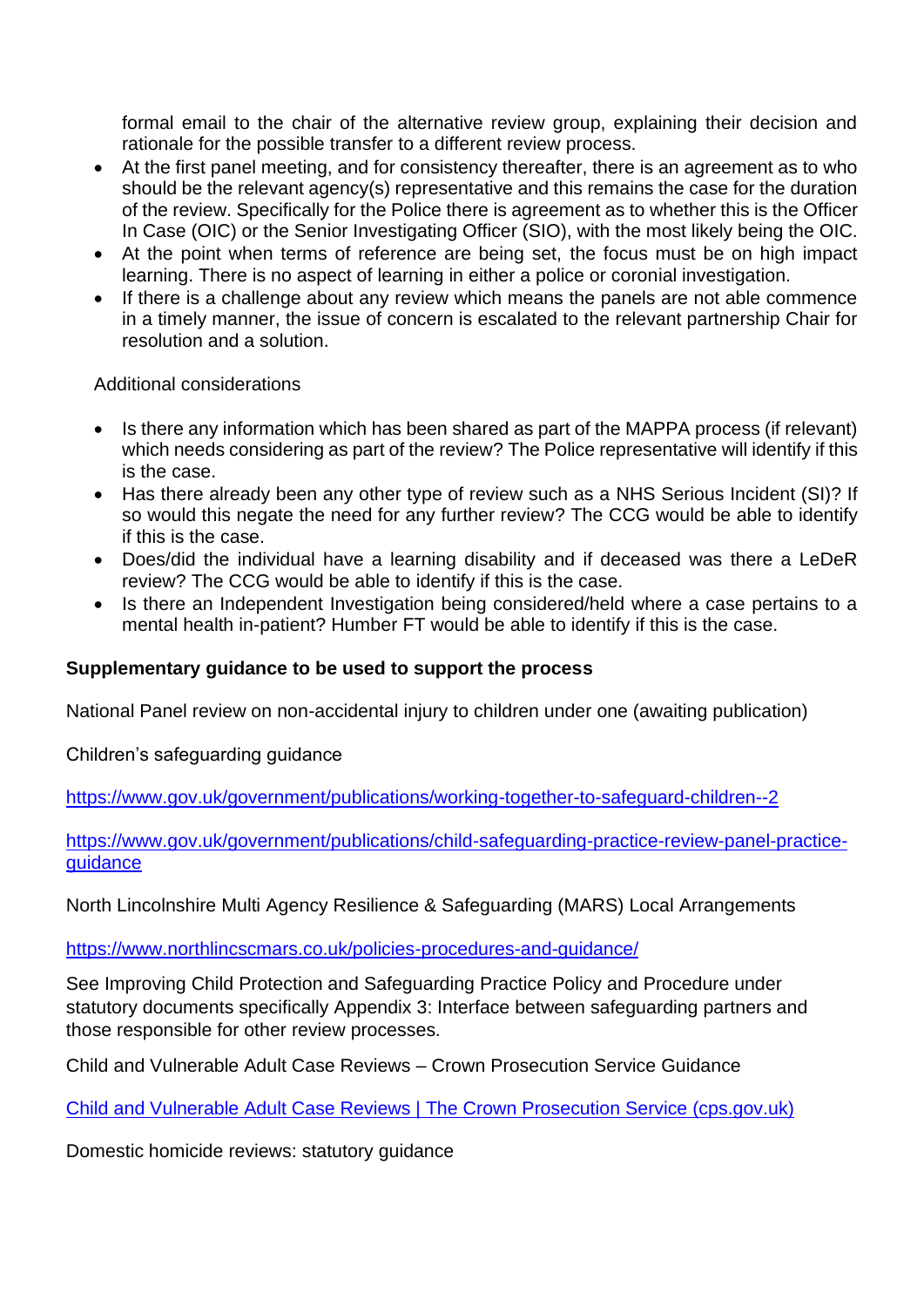formal email to the chair of the alternative review group, explaining their decision and rationale for the possible transfer to a different review process.

- At the first panel meeting, and for consistency thereafter, there is an agreement as to who should be the relevant agency(s) representative and this remains the case for the duration of the review. Specifically for the Police there is agreement as to whether this is the Officer In Case (OIC) or the Senior Investigating Officer (SIO), with the most likely being the OIC.
- At the point when terms of reference are being set, the focus must be on high impact learning. There is no aspect of learning in either a police or coronial investigation.
- If there is a challenge about any review which means the panels are not able commence in a timely manner, the issue of concern is escalated to the relevant partnership Chair for resolution and a solution.

Additional considerations

- Is there any information which has been shared as part of the MAPPA process (if relevant) which needs considering as part of the review? The Police representative will identify if this is the case.
- Has there already been any other type of review such as a NHS Serious Incident (SI)? If so would this negate the need for any further review? The CCG would be able to identify if this is the case.
- Does/did the individual have a learning disability and if deceased was there a LeDeR review? The CCG would be able to identify if this is the case.
- Is there an Independent Investigation being considered/held where a case pertains to a mental health in-patient? Humber FT would be able to identify if this is the case.

## **Supplementary guidance to be used to support the process**

National Panel review on non-accidental injury to children under one (awaiting publication)

Children's safeguarding guidance

<https://www.gov.uk/government/publications/working-together-to-safeguard-children--2>

[https://www.gov.uk/government/publications/child-safeguarding-practice-review-panel-practice](https://eur01.safelinks.protection.outlook.com/?url=https%3A%2F%2Fwww.gov.uk%2Fgovernment%2Fpublications%2Fchild-safeguarding-practice-review-panel-practice-guidance&data=04%7C01%7Cmarie.chappell%40eastriding.gov.uk%7C1445f3bfd8614fd1be9a08d951a6a3f4%7C351368d19b5a4c8bac76f39b4c7dd76c%7C1%7C0%7C637630598414048108%7CUnknown%7CTWFpbGZsb3d8eyJWIjoiMC4wLjAwMDAiLCJQIjoiV2luMzIiLCJBTiI6Ik1haWwiLCJXVCI6Mn0%3D%7C1000&sdata=9s6Nmt4otOSj3sE7fkihalegW7sVIPsl%2FKSzobMmvR0%3D&reserved=0)[guidance](https://eur01.safelinks.protection.outlook.com/?url=https%3A%2F%2Fwww.gov.uk%2Fgovernment%2Fpublications%2Fchild-safeguarding-practice-review-panel-practice-guidance&data=04%7C01%7Cmarie.chappell%40eastriding.gov.uk%7C1445f3bfd8614fd1be9a08d951a6a3f4%7C351368d19b5a4c8bac76f39b4c7dd76c%7C1%7C0%7C637630598414048108%7CUnknown%7CTWFpbGZsb3d8eyJWIjoiMC4wLjAwMDAiLCJQIjoiV2luMzIiLCJBTiI6Ik1haWwiLCJXVCI6Mn0%3D%7C1000&sdata=9s6Nmt4otOSj3sE7fkihalegW7sVIPsl%2FKSzobMmvR0%3D&reserved=0)

North Lincolnshire Multi Agency Resilience & Safeguarding (MARS) Local Arrangements

<https://www.northlincscmars.co.uk/policies-procedures-and-guidance/>

See Improving Child Protection and Safeguarding Practice Policy and Procedure under statutory documents specifically Appendix 3: Interface between safeguarding partners and those responsible for other review processes.

Child and Vulnerable Adult Case Reviews – Crown Prosecution Service Guidance

[Child and Vulnerable Adult Case Reviews | The Crown Prosecution Service \(cps.gov.uk\)](https://www.cps.gov.uk/legal-guidance/child-and-vulnerable-adult-case-reviews)

Domestic homicide reviews: statutory guidance